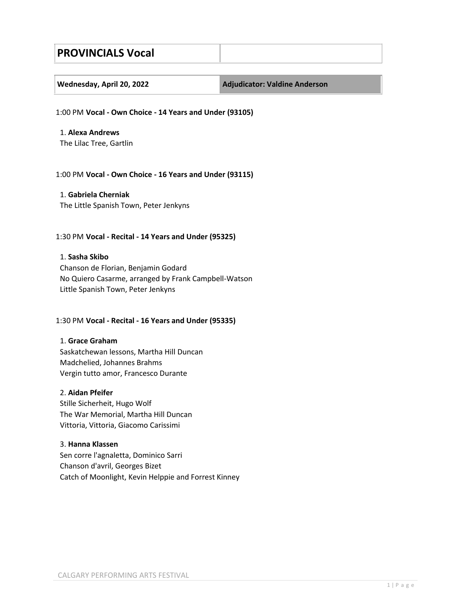# **PROVINCIALS Vocal**

| Wednesday, April 20, 2022 |  |  |
|---------------------------|--|--|

**Wednesday, April 20, 2022 Adjudicator: Valdine Anderson**

1:00 PM **Vocal - Own Choice - 14 Years and Under (93105)**

1. **Alexa Andrews** The Lilac Tree, Gartlin

#### 1:00 PM **Vocal - Own Choice - 16 Years and Under (93115)**

1. **Gabriela Cherniak** The Little Spanish Town, Peter Jenkyns

# 1:30 PM **Vocal - Recital - 14 Years and Under (95325)**

#### 1. **Sasha Skibo**

Chanson de Florian, Benjamin Godard No Quiero Casarme, arranged by Frank Campbell-Watson Little Spanish Town, Peter Jenkyns

# 1:30 PM **Vocal - Recital - 16 Years and Under (95335)**

#### 1. **Grace Graham**

Saskatchewan lessons, Martha Hill Duncan Madchelied, Johannes Brahms Vergin tutto amor, Francesco Durante

#### 2. **Aidan Pfeifer**

Stille Sicherheit, Hugo Wolf The War Memorial, Martha Hill Duncan Vittoria, Vittoria, Giacomo Carissimi

# 3. **Hanna Klassen**

Sen corre l'agnaletta, Dominico Sarri Chanson d'avril, Georges Bizet Catch of Moonlight, Kevin Helppie and Forrest Kinney